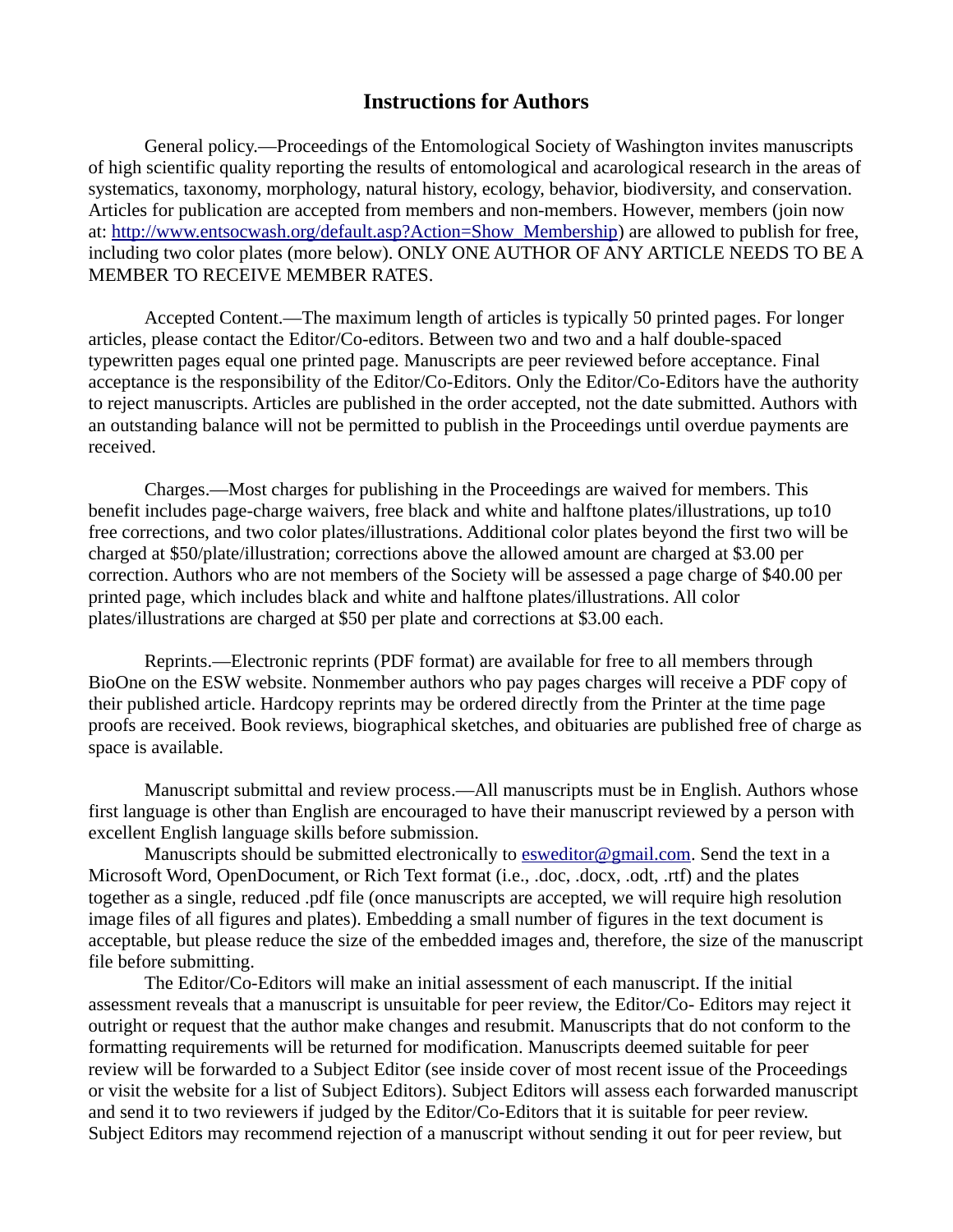## **Instructions for Authors**

General policy.—Proceedings of the Entomological Society of Washington invites manuscripts of high scientific quality reporting the results of entomological and acarological research in the areas of systematics, taxonomy, morphology, natural history, ecology, behavior, biodiversity, and conservation. Articles for publication are accepted from members and non‐members. However, members (join now at: [http://www.entsocwash.org/default.asp?Action=Show\\_Membership](http://www.entsocwash.org/default.asp?Action=Show_Membership)) are allowed to publish for free, including two color plates (more below). ONLY ONE AUTHOR OF ANY ARTICLE NEEDS TO BE A MEMBER TO RECEIVE MEMBER RATES.

Accepted Content.—The maximum length of articles is typically 50 printed pages. For longer articles, please contact the Editor/Co‐editors. Between two and two and a half double‐spaced typewritten pages equal one printed page. Manuscripts are peer reviewed before acceptance. Final acceptance is the responsibility of the Editor/Co‐Editors. Only the Editor/Co‐Editors have the authority to reject manuscripts. Articles are published in the order accepted, not the date submitted. Authors with an outstanding balance will not be permitted to publish in the Proceedings until overdue payments are received.

Charges.—Most charges for publishing in the Proceedings are waived for members. This benefit includes page-charge waivers, free black and white and halftone plates/illustrations, up to10 free corrections, and two color plates/illustrations. Additional color plates beyond the first two will be charged at \$50/plate/illustration; corrections above the allowed amount are charged at \$3.00 per correction. Authors who are not members of the Society will be assessed a page charge of \$40.00 per printed page, which includes black and white and halftone plates/illustrations. All color plates/illustrations are charged at \$50 per plate and corrections at \$3.00 each.

Reprints.—Electronic reprints (PDF format) are available for free to all members through BioOne on the ESW website. Nonmember authors who pay pages charges will receive a PDF copy of their published article. Hardcopy reprints may be ordered directly from the Printer at the time page proofs are received. Book reviews, biographical sketches, and obituaries are published free of charge as space is available.

Manuscript submittal and review process.—All manuscripts must be in English. Authors whose first language is other than English are encouraged to have their manuscript reviewed by a person with excellent English language skills before submission.

Manuscripts should be submitted electronically to [esweditor@gmail.com](mailto:esweditor@gmail.com). Send the text in a Microsoft Word, OpenDocument, or Rich Text format (i.e., .doc, .docx, .odt, .rtf) and the plates together as a single, reduced .pdf file (once manuscripts are accepted, we will require high resolution image files of all figures and plates). Embedding a small number of figures in the text document is acceptable, but please reduce the size of the embedded images and, therefore, the size of the manuscript file before submitting.

The Editor/Co-Editors will make an initial assessment of each manuscript. If the initial assessment reveals that a manuscript is unsuitable for peer review, the Editor/Co‐ Editors may reject it outright or request that the author make changes and resubmit. Manuscripts that do not conform to the formatting requirements will be returned for modification. Manuscripts deemed suitable for peer review will be forwarded to a Subject Editor (see inside cover of most recent issue of the Proceedings or visit the website for a list of Subject Editors). Subject Editors will assess each forwarded manuscript and send it to two reviewers if judged by the Editor/Co-Editors that it is suitable for peer review. Subject Editors may recommend rejection of a manuscript without sending it out for peer review, but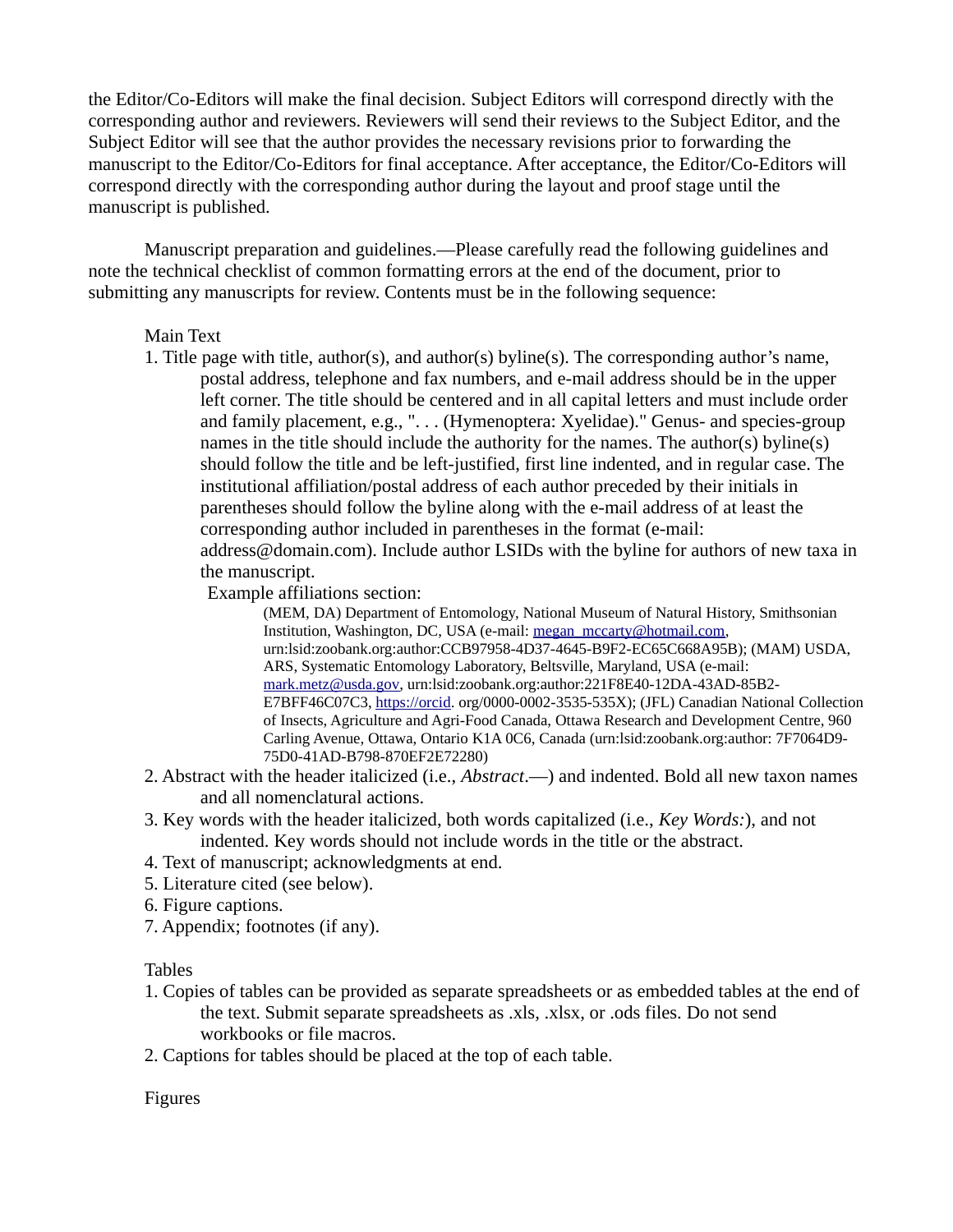the Editor/Co-Editors will make the final decision. Subject Editors will correspond directly with the corresponding author and reviewers. Reviewers will send their reviews to the Subject Editor, and the Subject Editor will see that the author provides the necessary revisions prior to forwarding the manuscript to the Editor/Co-Editors for final acceptance. After acceptance, the Editor/Co‐Editors will correspond directly with the corresponding author during the layout and proof stage until the manuscript is published.

Manuscript preparation and guidelines.—Please carefully read the following guidelines and note the technical checklist of common formatting errors at the end of the document, prior to submitting any manuscripts for review. Contents must be in the following sequence:

## Main Text

1. Title page with title, author(s), and author(s) byline(s). The corresponding author's name, postal address, telephone and fax numbers, and e‐mail address should be in the upper left corner. The title should be centered and in all capital letters and must include order and family placement, e.g., "... (Hymenoptera: Xyelidae)." Genus- and species-group names in the title should include the authority for the names. The author(s) byline(s) should follow the title and be left-justified, first line indented, and in regular case. The institutional affiliation/postal address of each author preceded by their initials in parentheses should follow the byline along with the e-mail address of at least the corresponding author included in parentheses in the format (e-mail: address@domain.com). Include author LSIDs with the byline for authors of new taxa in the manuscript.

Example affiliations section:

(MEM, DA) Department of Entomology, National Museum of Natural History, Smithsonian Institution, Washington, DC, USA (e-mail: [megan\\_mccarty@hotmail.com](mailto:megan_mccarty@hotmail.com), urn:lsid:zoobank.org:author:CCB97958-4D37-4645-B9F2-EC65C668A95B); (MAM) USDA, ARS, Systematic Entomology Laboratory, Beltsville, Maryland, USA (e-mail: [mark.metz@usda.gov,](mailto:mark.metz@usda.gov) urn:lsid:zoobank.org:author:221F8E40-12DA-43AD-85B2- E7BFF46C07C3, [https://orcid.](https://orcid/) org/0000-0002-3535-535X); (JFL) Canadian National Collection of Insects, Agriculture and Agri-Food Canada, Ottawa Research and Development Centre, 960 Carling Avenue, Ottawa, Ontario K1A 0C6, Canada (urn:lsid:zoobank.org:author: 7F7064D9- 75D0-41AD-B798-870EF2E72280)

- 2. Abstract with the header italicized (i.e., *Abstract*.—) and indented. Bold all new taxon names and all nomenclatural actions.
- 3. Key words with the header italicized, both words capitalized (i.e., *Key Words:*), and not indented. Key words should not include words in the title or the abstract.
- 4. Text of manuscript; acknowledgments at end.
- 5. Literature cited (see below).
- 6. Figure captions.
- 7. Appendix; footnotes (if any).

## Tables

- 1. Copies of tables can be provided as separate spreadsheets or as embedded tables at the end of the text. Submit separate spreadsheets as .xls, .xlsx, or .ods files. Do not send workbooks or file macros.
- 2. Captions for tables should be placed at the top of each table.

Figures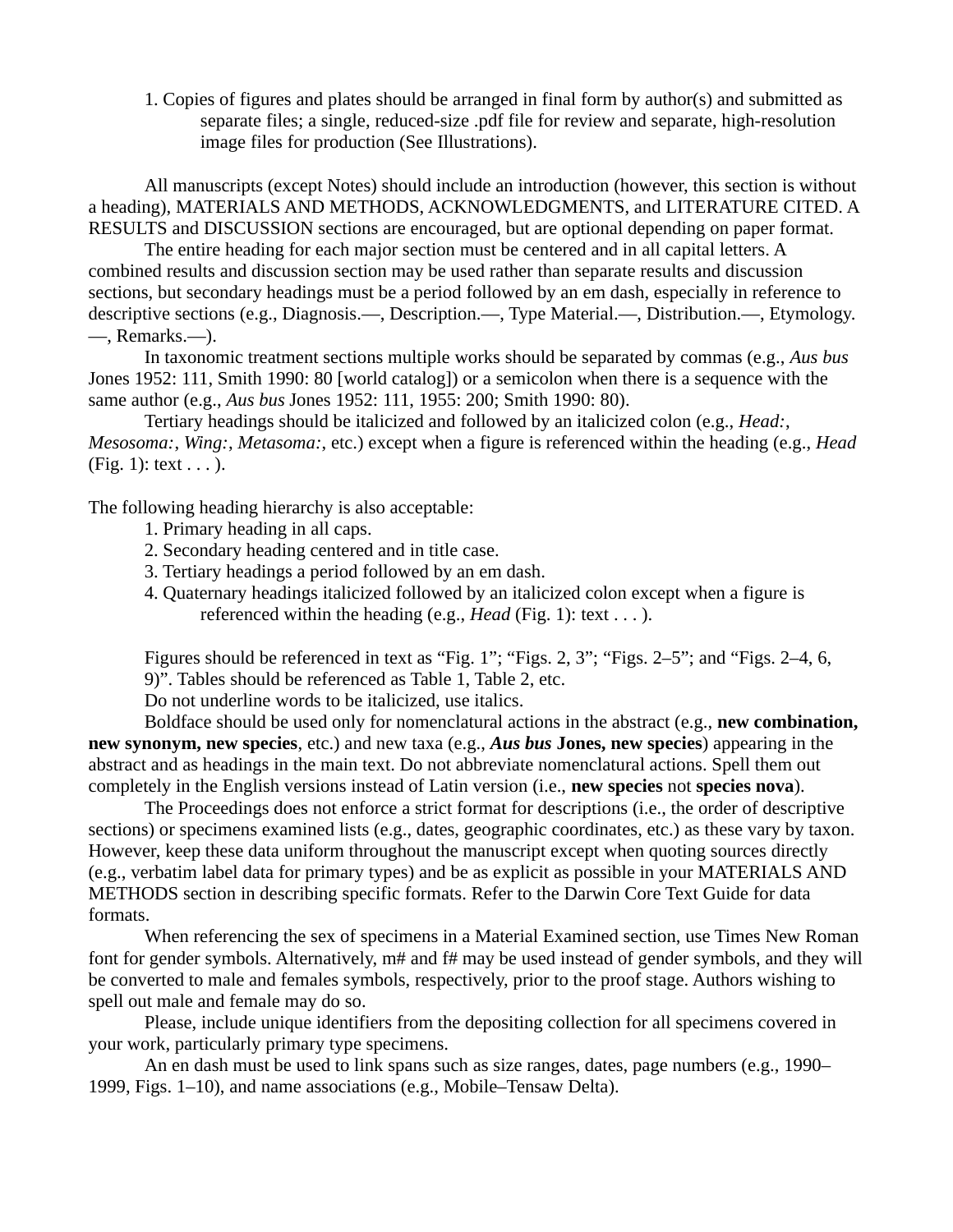1. Copies of figures and plates should be arranged in final form by author(s) and submitted as separate files; a single, reduced-size .pdf file for review and separate, high-resolution image files for production (See Illustrations).

All manuscripts (except Notes) should include an introduction (however, this section is without a heading), MATERIALS AND METHODS, ACKNOWLEDGMENTS, and LITERATURE CITED. A RESULTS and DISCUSSION sections are encouraged, but are optional depending on paper format.

The entire heading for each major section must be centered and in all capital letters. A combined results and discussion section may be used rather than separate results and discussion sections, but secondary headings must be a period followed by an em dash, especially in reference to descriptive sections (e.g., Diagnosis.—, Description.—, Type Material.—, Distribution.—, Etymology. —, Remarks.—).

In taxonomic treatment sections multiple works should be separated by commas (e.g., *Aus bus* Jones 1952: 111, Smith 1990: 80 [world catalog]) or a semicolon when there is a sequence with the same author (e.g., *Aus bus* Jones 1952: 111, 1955: 200; Smith 1990: 80).

Tertiary headings should be italicized and followed by an italicized colon (e.g., *Head:*, *Mesosoma:*, *Wing:*, *Metasoma:*, etc.) except when a figure is referenced within the heading (e.g., *Head* (Fig. 1): text  $\dots$ ).

The following heading hierarchy is also acceptable:

- 1. Primary heading in all caps.
- 2. Secondary heading centered and in title case.
- 3. Tertiary headings a period followed by an em dash.
- 4. Quaternary headings italicized followed by an italicized colon except when a figure is referenced within the heading (e.g., *Head* (Fig. 1): text . . . ).

Figures should be referenced in text as "Fig. 1"; "Figs. 2, 3"; "Figs. 2–5"; and "Figs. 2–4, 6, 9)". Tables should be referenced as Table 1, Table 2, etc.

Do not underline words to be italicized, use italics.

Boldface should be used only for nomenclatural actions in the abstract (e.g., **new combination, new synonym, new species**, etc.) and new taxa (e.g., *Aus bus* **Jones, new species**) appearing in the abstract and as headings in the main text. Do not abbreviate nomenclatural actions. Spell them out completely in the English versions instead of Latin version (i.e., **new species** not **species nova**).

The Proceedings does not enforce a strict format for descriptions (i.e., the order of descriptive sections) or specimens examined lists (e.g., dates, geographic coordinates, etc.) as these vary by taxon. However, keep these data uniform throughout the manuscript except when quoting sources directly (e.g., verbatim label data for primary types) and be as explicit as possible in your MATERIALS AND METHODS section in describing specific formats. Refer to the Darwin Core Text Guide for data formats.

When referencing the sex of specimens in a Material Examined section, use Times New Roman font for gender symbols. Alternatively, m# and f# may be used instead of gender symbols, and they will be converted to male and females symbols, respectively, prior to the proof stage. Authors wishing to spell out male and female may do so.

Please, include unique identifiers from the depositing collection for all specimens covered in your work, particularly primary type specimens.

An en dash must be used to link spans such as size ranges, dates, page numbers (e.g., 1990– 1999, Figs. 1–10), and name associations (e.g., Mobile–Tensaw Delta).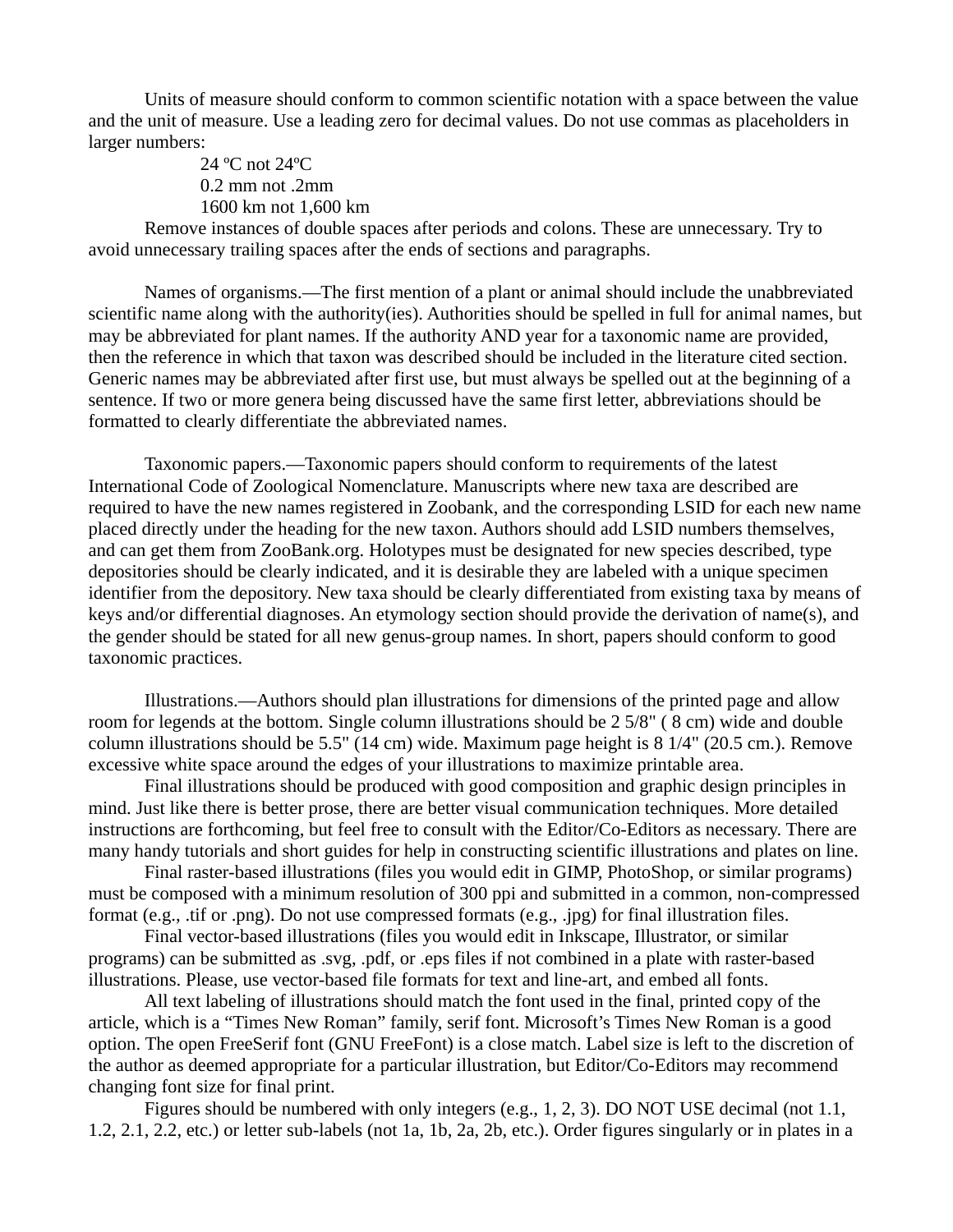Units of measure should conform to common scientific notation with a space between the value and the unit of measure. Use a leading zero for decimal values. Do not use commas as placeholders in larger numbers:

> 24 ºC not 24ºC 0.2 mm not .2mm 1600 km not 1,600 km

Remove instances of double spaces after periods and colons. These are unnecessary. Try to avoid unnecessary trailing spaces after the ends of sections and paragraphs.

Names of organisms.—The first mention of a plant or animal should include the unabbreviated scientific name along with the authority(ies). Authorities should be spelled in full for animal names, but may be abbreviated for plant names. If the authority AND year for a taxonomic name are provided, then the reference in which that taxon was described should be included in the literature cited section. Generic names may be abbreviated after first use, but must always be spelled out at the beginning of a sentence. If two or more genera being discussed have the same first letter, abbreviations should be formatted to clearly differentiate the abbreviated names.

Taxonomic papers.—Taxonomic papers should conform to requirements of the latest International Code of Zoological Nomenclature. Manuscripts where new taxa are described are required to have the new names registered in Zoobank, and the corresponding LSID for each new name placed directly under the heading for the new taxon. Authors should add LSID numbers themselves, and can get them from ZooBank.org. Holotypes must be designated for new species described, type depositories should be clearly indicated, and it is desirable they are labeled with a unique specimen identifier from the depository. New taxa should be clearly differentiated from existing taxa by means of keys and/or differential diagnoses. An etymology section should provide the derivation of name(s), and the gender should be stated for all new genus‐group names. In short, papers should conform to good taxonomic practices.

Illustrations.—Authors should plan illustrations for dimensions of the printed page and allow room for legends at the bottom. Single column illustrations should be 2 5/8" ( 8 cm) wide and double column illustrations should be 5.5" (14 cm) wide. Maximum page height is 8 1/4" (20.5 cm.). Remove excessive white space around the edges of your illustrations to maximize printable area.

Final illustrations should be produced with good composition and graphic design principles in mind. Just like there is better prose, there are better visual communication techniques. More detailed instructions are forthcoming, but feel free to consult with the Editor/Co-Editors as necessary. There are many handy tutorials and short guides for help in constructing scientific illustrations and plates on line.

Final raster-based illustrations (files you would edit in GIMP, PhotoShop, or similar programs) must be composed with a minimum resolution of 300 ppi and submitted in a common, non-compressed format (e.g., .tif or .png). Do not use compressed formats (e.g., .jpg) for final illustration files.

Final vector-based illustrations (files you would edit in Inkscape, Illustrator, or similar programs) can be submitted as .svg, .pdf, or .eps files if not combined in a plate with raster-based illustrations. Please, use vector-based file formats for text and line-art, and embed all fonts.

All text labeling of illustrations should match the font used in the final, printed copy of the article, which is a "Times New Roman" family, serif font. Microsoft's Times New Roman is a good option. The open FreeSerif font (GNU FreeFont) is a close match. Label size is left to the discretion of the author as deemed appropriate for a particular illustration, but Editor/Co-Editors may recommend changing font size for final print.

Figures should be numbered with only integers (e.g., 1, 2, 3). DO NOT USE decimal (not 1.1, 1.2, 2.1, 2.2, etc.) or letter sub-labels (not 1a, 1b, 2a, 2b, etc.). Order figures singularly or in plates in a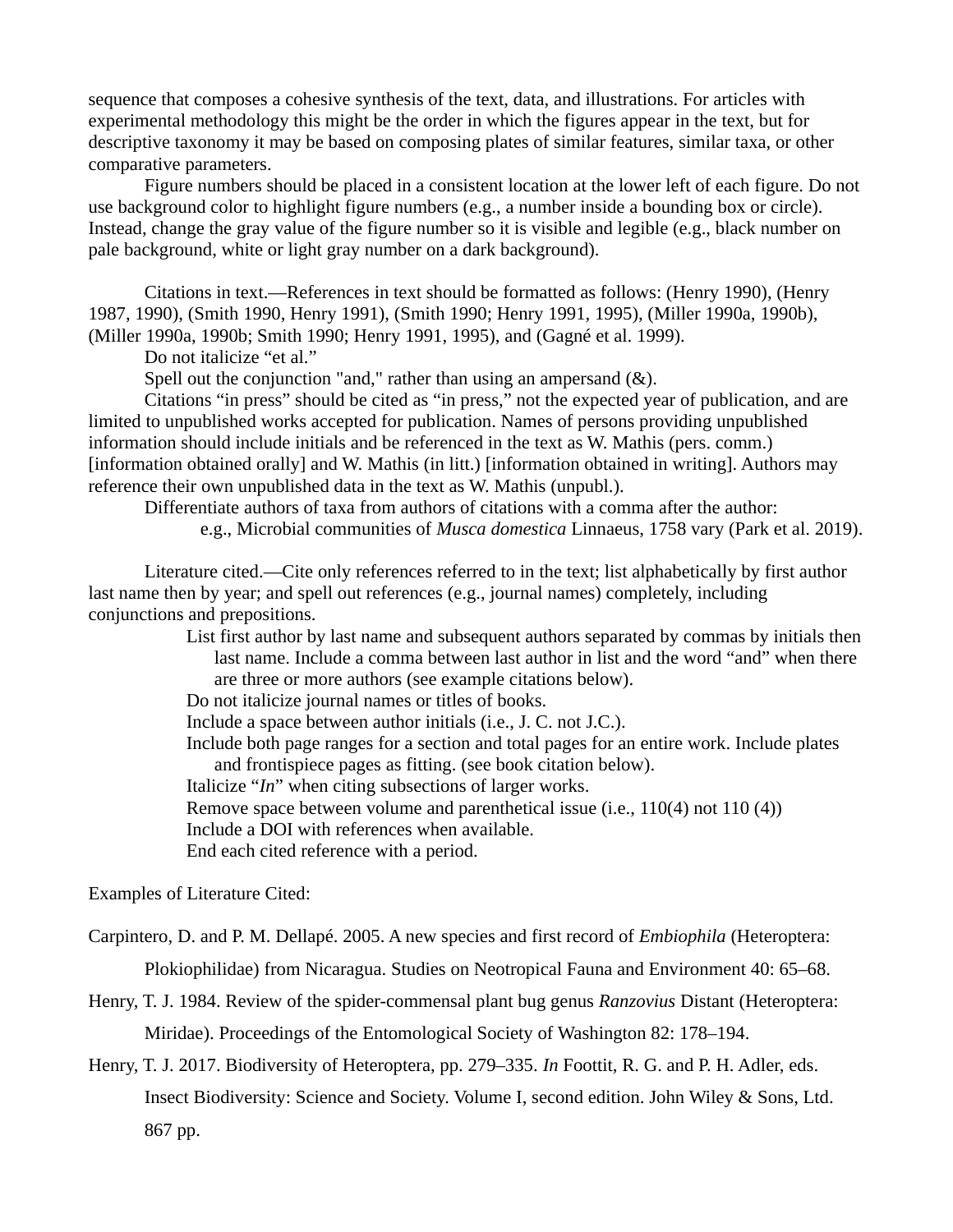sequence that composes a cohesive synthesis of the text, data, and illustrations. For articles with experimental methodology this might be the order in which the figures appear in the text, but for descriptive taxonomy it may be based on composing plates of similar features, similar taxa, or other comparative parameters.

Figure numbers should be placed in a consistent location at the lower left of each figure. Do not use background color to highlight figure numbers (e.g., a number inside a bounding box or circle). Instead, change the gray value of the figure number so it is visible and legible (e.g., black number on pale background, white or light gray number on a dark background).

Citations in text.—References in text should be formatted as follows: (Henry 1990), (Henry 1987, 1990), (Smith 1990, Henry 1991), (Smith 1990; Henry 1991, 1995), (Miller 1990a, 1990b), (Miller 1990a, 1990b; Smith 1990; Henry 1991, 1995), and (Gagné et al. 1999).

Do not italicize "et al."

Spell out the conjunction "and," rather than using an ampersand (&).

Citations "in press" should be cited as "in press," not the expected year of publication, and are limited to unpublished works accepted for publication. Names of persons providing unpublished information should include initials and be referenced in the text as W. Mathis (pers. comm.) [information obtained orally] and W. Mathis (in litt.) [information obtained in writing]. Authors may reference their own unpublished data in the text as W. Mathis (unpubl.).

Differentiate authors of taxa from authors of citations with a comma after the author: e.g., Microbial communities of *Musca domestica* Linnaeus, 1758 vary (Park et al. 2019).

Literature cited.—Cite only references referred to in the text; list alphabetically by first author last name then by year; and spell out references (e.g., journal names) completely, including conjunctions and prepositions.

> List first author by last name and subsequent authors separated by commas by initials then last name. Include a comma between last author in list and the word "and" when there are three or more authors (see example citations below).

Do not italicize journal names or titles of books.

Include a space between author initials (i.e., J. C. not J.C.).

Include both page ranges for a section and total pages for an entire work. Include plates and frontispiece pages as fitting. (see book citation below).

Italicize "*In*" when citing subsections of larger works.

Remove space between volume and parenthetical issue (i.e., 110(4) not 110 (4))

Include a DOI with references when available.

End each cited reference with a period.

Examples of Literature Cited:

Carpintero, D. and P. M. Dellapé. 2005. A new species and first record of *Embiophila* (Heteroptera:

Plokiophilidae) from Nicaragua. Studies on Neotropical Fauna and Environment 40: 65–68.

Henry, T. J. 1984. Review of the spider-commensal plant bug genus *Ranzovius* Distant (Heteroptera: Miridae). Proceedings of the Entomological Society of Washington 82: 178–194.

Henry, T. J. 2017. Biodiversity of Heteroptera, pp. 279–335. *In* Foottit, R. G. and P. H. Adler, eds. Insect Biodiversity: Science and Society. Volume I, second edition. John Wiley & Sons, Ltd. 867 pp.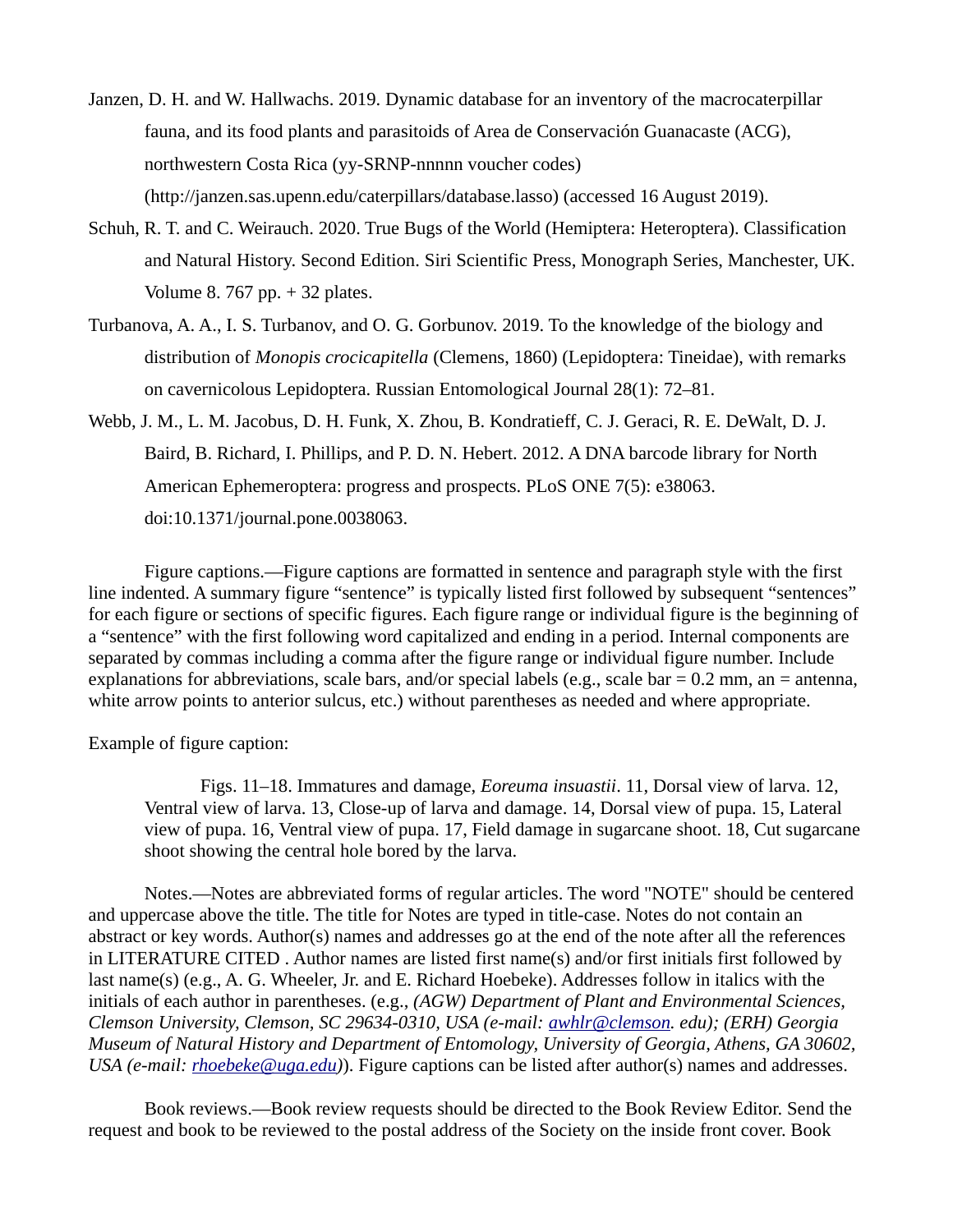- Janzen, D. H. and W. Hallwachs. 2019. Dynamic database for an inventory of the macrocaterpillar fauna, and its food plants and parasitoids of Area de Conservación Guanacaste (ACG), northwestern Costa Rica (yy-SRNP-nnnnn voucher codes) (http://janzen.sas.upenn.edu/caterpillars/database.lasso) (accessed 16 August 2019).
- Schuh, R. T. and C. Weirauch. 2020. True Bugs of the World (Hemiptera: Heteroptera). Classification and Natural History. Second Edition. Siri Scientific Press, Monograph Series, Manchester, UK. Volume 8. 767 pp. + 32 plates.
- Turbanova, A. A., I. S. Turbanov, and O. G. Gorbunov. 2019. To the knowledge of the biology and distribution of *Monopis crocicapitella* (Clemens, 1860) (Lepidoptera: Tineidae), with remarks on cavernicolous Lepidoptera. Russian Entomological Journal 28(1): 72–81.
- Webb, J. M., L. M. Jacobus, D. H. Funk, X. Zhou, B. Kondratieff, C. J. Geraci, R. E. DeWalt, D. J. Baird, B. Richard, I. Phillips, and P. D. N. Hebert. 2012. A DNA barcode library for North American Ephemeroptera: progress and prospects. PLoS ONE 7(5): e38063. doi:10.1371/journal.pone.0038063.

Figure captions.—Figure captions are formatted in sentence and paragraph style with the first line indented. A summary figure "sentence" is typically listed first followed by subsequent "sentences" for each figure or sections of specific figures. Each figure range or individual figure is the beginning of a "sentence" with the first following word capitalized and ending in a period. Internal components are separated by commas including a comma after the figure range or individual figure number. Include explanations for abbreviations, scale bars, and/or special labels (e.g., scale bar  $= 0.2$  mm, an  $=$  antenna, white arrow points to anterior sulcus, etc.) without parentheses as needed and where appropriate.

Example of figure caption:

Figs. 11–18. Immatures and damage, *Eoreuma insuastii*. 11, Dorsal view of larva. 12, Ventral view of larva. 13, Close-up of larva and damage. 14, Dorsal view of pupa. 15, Lateral view of pupa. 16, Ventral view of pupa. 17, Field damage in sugarcane shoot. 18, Cut sugarcane shoot showing the central hole bored by the larva.

Notes.—Notes are abbreviated forms of regular articles. The word "NOTE" should be centered and uppercase above the title. The title for Notes are typed in title-case. Notes do not contain an abstract or key words. Author(s) names and addresses go at the end of the note after all the references in LITERATURE CITED . Author names are listed first name(s) and/or first initials first followed by last name(s) (e.g., A. G. Wheeler, Jr. and E. Richard Hoebeke). Addresses follow in italics with the initials of each author in parentheses. (e.g., *(AGW) Department of Plant and Environmental Sciences, Clemson University, Clemson, SC 29634-0310, USA (e-mail: [awhlr@clemson.](mailto:awhlr@clemson) edu); (ERH) Georgia Museum of Natural History and Department of Entomology, University of Georgia, Athens, GA 30602, USA (e-mail: [rhoebeke@uga.edu](mailto:rhoebeke@uga.edu))*). Figure captions can be listed after author(s) names and addresses.

Book reviews.—Book review requests should be directed to the Book Review Editor. Send the request and book to be reviewed to the postal address of the Society on the inside front cover. Book